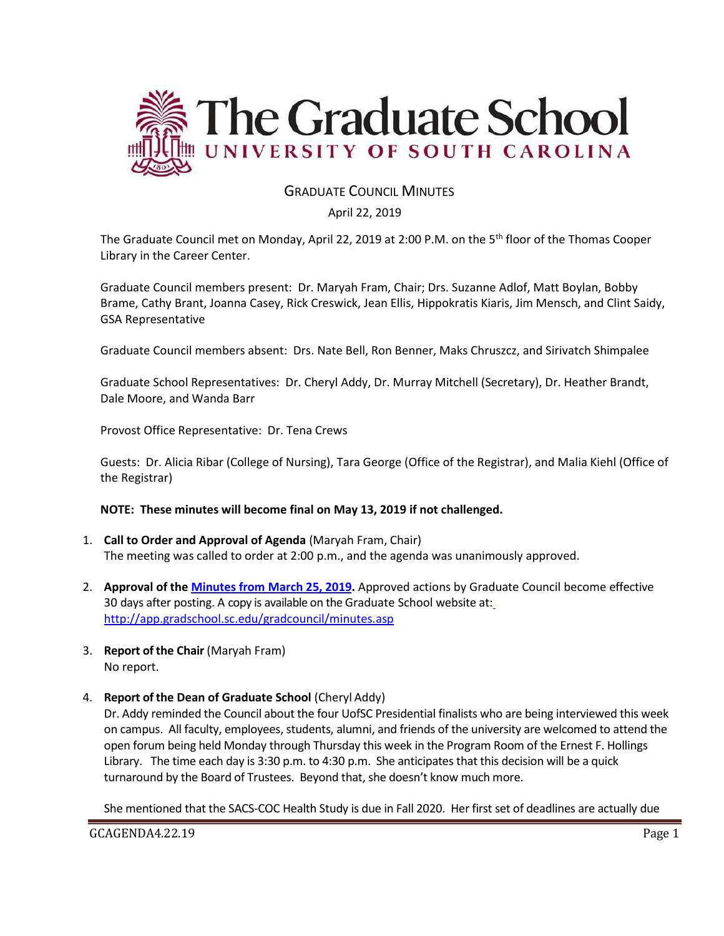

# GRADUATE COUNCIL MINUTES

#### April 22, 2019

The Graduate Council met on Monday, April 22, 2019 at 2:00 P.M. on the 5<sup>th</sup> floor of the Thomas Cooper Library in the Career Center.

Graduate Council members present: Dr. Maryah Fram, Chair; Drs. Suzanne Adlof, Matt Boylan, Bobby Brame, Cathy Brant, Joanna Casey, Rick Creswick, Jean Ellis, Hippokratis Kiaris, Jim Mensch, and Clint Saidy, GSA Representative

Graduate Council members absent: Drs. Nate Bell, Ron Benner, Maks Chruszcz, and Sirivatch Shimpalee

Graduate School Representatives: Dr. Cheryl Addy, Dr. Murray Mitchell (Secretary), Dr. Heather Brandt, Dale Moore, and Wanda Barr

Provost Office Representative: Dr. Tena Crews

Guests: Dr. Alicia Ribar (College of Nursing), Tara George (Office of the Registrar), and Malia Kiehl (Office of the Registrar)

#### **NOTE: These minutes will become final on May 13, 2019 if not challenged.**

- 1. **Call to Order and Approval of Agenda** (Maryah Fram, Chair) The meeting was called to order at 2:00 p.m., and the agenda was unanimously approved.
- 2. **Approval of the [Minutes from March](file:///C:/Users/wandab/Local%20Documents/Graduate%20Council/GCMINUTES3.25.19wAttach.pdf) 25, 2019.** Approved actions by Graduate Council become effective 30 days after posting. A copy is available on the Graduate School website at[:](http://app.gradschool.sc.edu/gradcouncil/minutes.asp) <http://app.gradschool.sc.edu/gradcouncil/minutes.asp>
- 3. **Report of the Chair** (Maryah Fram) No report.
- 4. **Report of the Dean of Graduate School** (Cheryl Addy)

Dr. Addy reminded the Council about the four UofSC Presidential finalists who are being interviewed this week on campus. All faculty, employees, students, alumni, and friends of the university are welcomed to attend the open forum being held Monday through Thursday this week in the Program Room of the Ernest F. Hollings Library. The time each day is 3:30 p.m. to 4:30 p.m. She anticipates that this decision will be a quick turnaround by the Board of Trustees. Beyond that, she doesn't know much more.

She mentioned that the SACS-COC Health Study is due in Fall 2020. Her first set of deadlines are actually due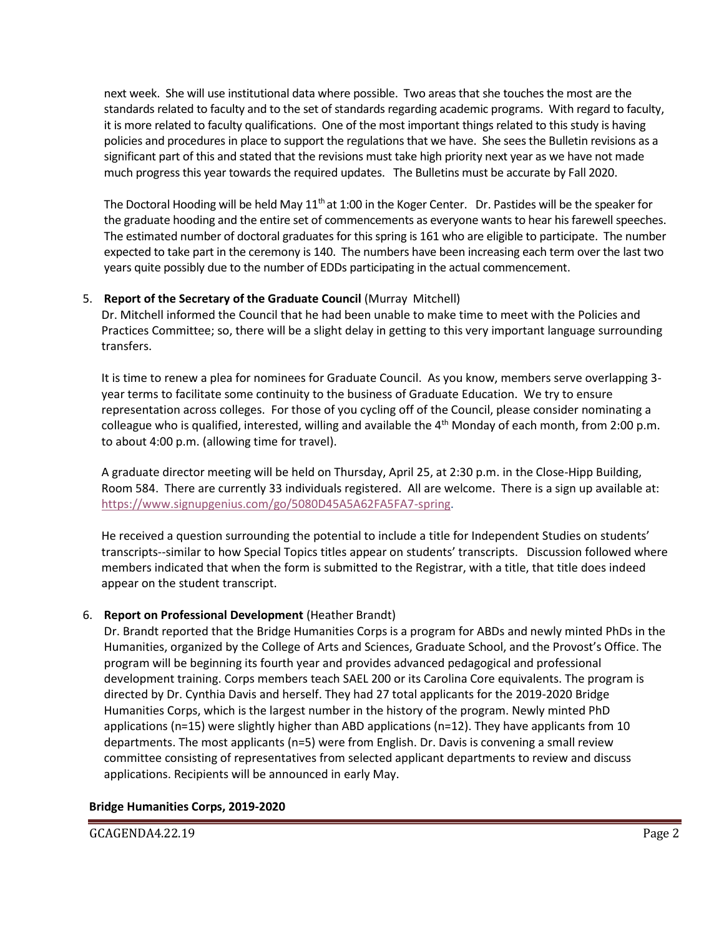next week. She will use institutional data where possible. Two areas that she touches the most are the standards related to faculty and to the set of standards regarding academic programs. With regard to faculty, it is more related to faculty qualifications. One of the most important things related to this study is having policies and procedures in place to support the regulations that we have. She sees the Bulletin revisions as a significant part of this and stated that the revisions must take high priority next year as we have not made much progress this year towards the required updates. The Bulletins must be accurate by Fall 2020.

The Doctoral Hooding will be held May  $11<sup>th</sup>$  at 1:00 in the Koger Center. Dr. Pastides will be the speaker for the graduate hooding and the entire set of commencements as everyone wants to hear his farewell speeches. The estimated number of doctoral graduates for this spring is 161 who are eligible to participate. The number expected to take part in the ceremony is 140. The numbers have been increasing each term over the last two years quite possibly due to the number of EDDs participating in the actual commencement.

## 5. **Report of the Secretary of the Graduate Council** (Murray Mitchell)

Dr. Mitchell informed the Council that he had been unable to make time to meet with the Policies and Practices Committee; so, there will be a slight delay in getting to this very important language surrounding transfers.

It is time to renew a plea for nominees for Graduate Council. As you know, members serve overlapping 3 year terms to facilitate some continuity to the business of Graduate Education. We try to ensure representation across colleges. For those of you cycling off of the Council, please consider nominating a colleague who is qualified, interested, willing and available the  $4<sup>th</sup>$  Monday of each month, from 2:00 p.m. to about 4:00 p.m. (allowing time for travel).

A graduate director meeting will be held on Thursday, April 25, at 2:30 p.m. in the Close-Hipp Building, Room 584. There are currently 33 individuals registered. All are welcome. There is a sign up available at: [https://www.signupgenius.com/go/5080D45A5A62FA5FA7-spring.](https://www.signupgenius.com/go/5080D45A5A62FA5FA7-spring)

He received a question surrounding the potential to include a title for Independent Studies on students' transcripts--similar to how Special Topics titles appear on students' transcripts. Discussion followed where members indicated that when the form is submitted to the Registrar, with a title, that title does indeed appear on the student transcript.

## 6. **Report on Professional Development** (Heather Brandt)

Dr. Brandt reported that the Bridge Humanities Corps is a program for ABDs and newly minted PhDs in the Humanities, organized by the College of Arts and Sciences, Graduate School, and the Provost's Office. The program will be beginning its fourth year and provides advanced pedagogical and professional development training. Corps members teach SAEL 200 or its Carolina Core equivalents. The program is directed by Dr. Cynthia Davis and herself. They had 27 total applicants for the 2019-2020 Bridge Humanities Corps, which is the largest number in the history of the program. Newly minted PhD applications (n=15) were slightly higher than ABD applications (n=12). They have applicants from 10 departments. The most applicants (n=5) were from English. Dr. Davis is convening a small review committee consisting of representatives from selected applicant departments to review and discuss applications. Recipients will be announced in early May.

#### **Bridge Humanities Corps, 2019-2020**

GCAGENDA4.22.19 Page 2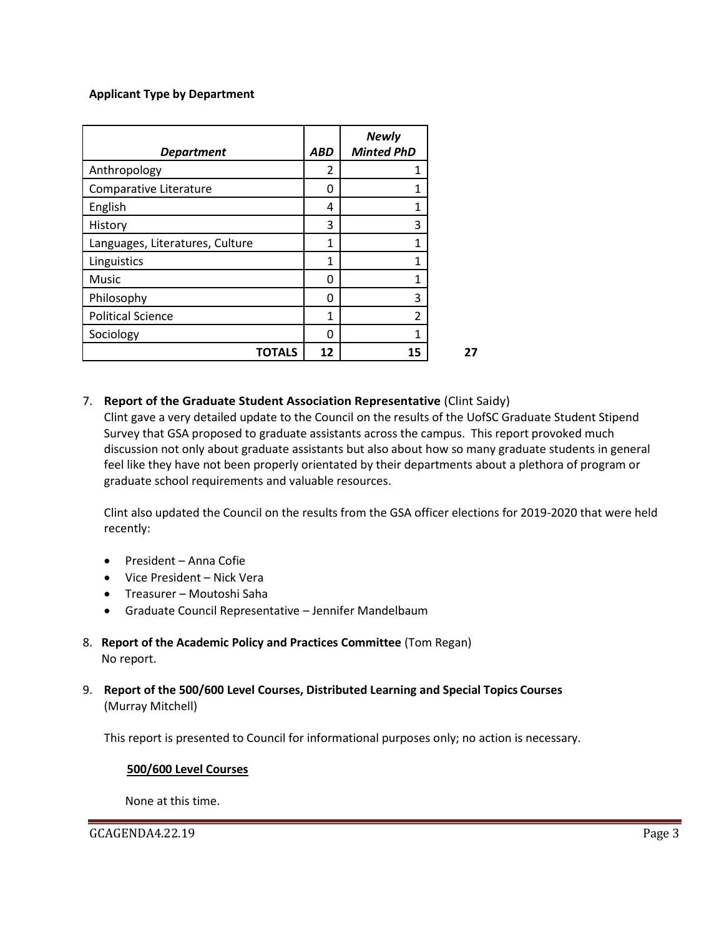#### **Applicant Type by Department**

| <b>Department</b>               | <b>ABD</b> | <b>Newly</b><br><b>Minted PhD</b> |
|---------------------------------|------------|-----------------------------------|
| Anthropology                    | 2          | 1                                 |
| Comparative Literature          | 0          | 1                                 |
| English                         | 4          | 1                                 |
| History                         | 3          | 3                                 |
| Languages, Literatures, Culture | 1          | 1                                 |
| Linguistics                     | 1          | 1                                 |
| Music                           | 0          | 1                                 |
| Philosophy                      | 0          | 3                                 |
| <b>Political Science</b>        | 1          | 2                                 |
| Sociology                       | n          | 1                                 |
| TOTALS                          | 12         | 15                                |

#### 7. **Report of the Graduate Student Association Representative** (Clint Saidy)

Clint gave a very detailed update to the Council on the results of the UofSC Graduate Student Stipend Survey that GSA proposed to graduate assistants across the campus. This report provoked much discussion not only about graduate assistants but also about how so many graduate students in general feel like they have not been properly orientated by their departments about a plethora of program or graduate school requirements and valuable resources.

Clint also updated the Council on the results from the GSA officer elections for 2019-2020 that were held recently:

- President Anna Cofie
- Vice President Nick Vera
- Treasurer Moutoshi Saha
- Graduate Council Representative Jennifer Mandelbaum
- 8. **Report of the Academic Policy and Practices Committee** (Tom Regan) No report.
- 9. **Report of the 500/600 Level Courses, Distributed Learning and Special Topics Courses** (Murray Mitchell)

This report is presented to Council for informational purposes only; no action is necessary.

#### **500/600 Level Courses**

None at this time.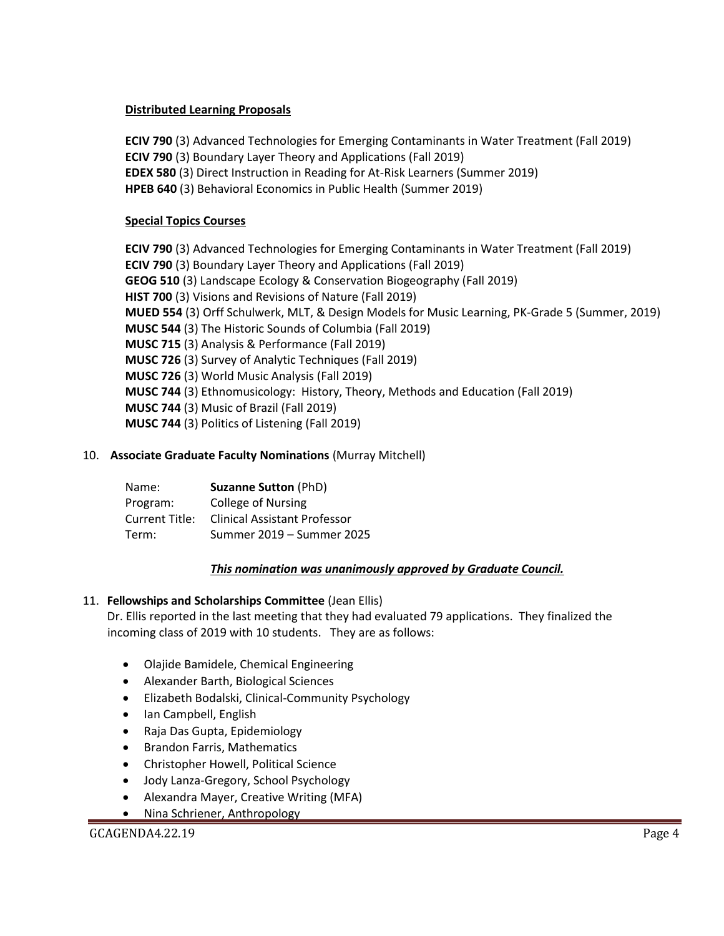#### **Distributed Learning Proposals**

**ECIV 790** (3) Advanced Technologies for Emerging Contaminants in Water Treatment (Fall 2019) **ECIV 790** (3) Boundary Layer Theory and Applications (Fall 2019) **EDEX 580** (3) Direct Instruction in Reading for At-Risk Learners (Summer 2019) **HPEB 640** (3) Behavioral Economics in Public Health (Summer 2019)

# **Special Topics Courses**

**ECIV 790** (3) Advanced Technologies for Emerging Contaminants in Water Treatment (Fall 2019) **ECIV 790** (3) Boundary Layer Theory and Applications (Fall 2019) **GEOG 510** (3) Landscape Ecology & Conservation Biogeography (Fall 2019) **HIST 700** (3) Visions and Revisions of Nature (Fall 2019) **MUED 554** (3) Orff Schulwerk, MLT, & Design Models for Music Learning, PK-Grade 5 (Summer, 2019) **MUSC 544** (3) The Historic Sounds of Columbia (Fall 2019) **MUSC 715** (3) Analysis & Performance (Fall 2019) **MUSC 726** (3) Survey of Analytic Techniques (Fall 2019) **MUSC 726** (3) World Music Analysis (Fall 2019) **MUSC 744** (3) Ethnomusicology: History, Theory, Methods and Education (Fall 2019) **MUSC 744** (3) Music of Brazil (Fall 2019) **MUSC 744** (3) Politics of Listening (Fall 2019)

## 10. **Associate Graduate Faculty Nominations** (Murray Mitchell)

| Name:          | <b>Suzanne Sutton (PhD)</b>         |
|----------------|-------------------------------------|
| Program:       | <b>College of Nursing</b>           |
| Current Title: | <b>Clinical Assistant Professor</b> |
| Term:          | Summer 2019 – Summer 2025           |

## *This nomination was unanimously approved by Graduate Council.*

## 11. **Fellowships and Scholarships Committee** (Jean Ellis)

 Dr. Ellis reported in the last meeting that they had evaluated 79 applications. They finalized the incoming class of 2019 with 10 students. They are as follows:

- Olajide Bamidele, Chemical Engineering
- Alexander Barth, Biological Sciences
- Elizabeth Bodalski, Clinical-Community Psychology
- Ian Campbell, English
- Raja Das Gupta, Epidemiology
- Brandon Farris, Mathematics
- Christopher Howell, Political Science
- Jody Lanza-Gregory, School Psychology
- Alexandra Mayer, Creative Writing (MFA)
- Nina Schriener, Anthropology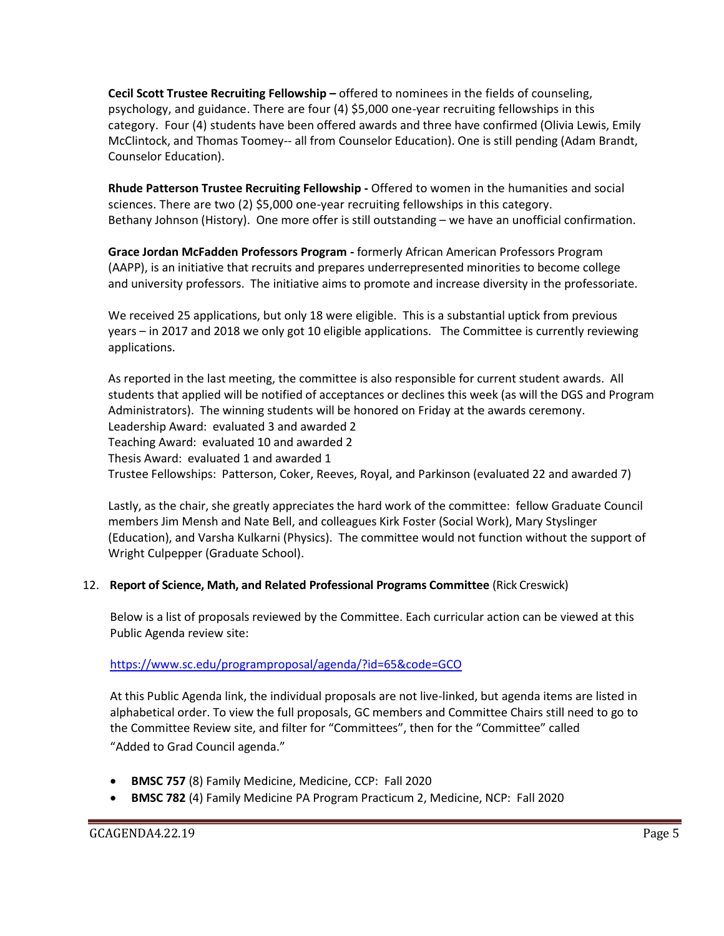**Cecil Scott Trustee Recruiting Fellowship –** offered to nominees in the fields of counseling, psychology, and guidance. There are four (4) \$5,000 one-year recruiting fellowships in this category. Four (4) students have been offered awards and three have confirmed (Olivia Lewis, Emily McClintock, and Thomas Toomey-- all from Counselor Education). One is still pending (Adam Brandt, Counselor Education).

**Rhude Patterson Trustee Recruiting Fellowship -** Offered to women in the humanities and social sciences. There are two (2) \$5,000 one-year recruiting fellowships in this category. Bethany Johnson (History). One more offer is still outstanding – we have an unofficial confirmation.

**Grace Jordan McFadden Professors Program -** formerly African American Professors Program (AAPP), is an initiative that recruits and prepares underrepresented minorities to become college and university professors. The initiative aims to promote and increase diversity in the professoriate.

We received 25 applications, but only 18 were eligible. This is a substantial uptick from previous years – in 2017 and 2018 we only got 10 eligible applications. The Committee is currently reviewing applications.

As reported in the last meeting, the committee is also responsible for current student awards. All students that applied will be notified of acceptances or declines this week (as will the DGS and Program Administrators). The winning students will be honored on Friday at the awards ceremony. Leadership Award: evaluated 3 and awarded 2 Teaching Award: evaluated 10 and awarded 2 Thesis Award: evaluated 1 and awarded 1 Trustee Fellowships: Patterson, Coker, Reeves, Royal, and Parkinson (evaluated 22 and awarded 7)

Lastly, as the chair, she greatly appreciates the hard work of the committee: fellow Graduate Council members Jim Mensh and Nate Bell, and colleagues Kirk Foster (Social Work), Mary Styslinger (Education), and Varsha Kulkarni (Physics). The committee would not function without the support of Wright Culpepper (Graduate School).

## 12. **Report of Science, Math, and Related Professional Programs Committee** (Rick Creswick)

Below is a list of proposals reviewed by the Committee. Each curricular action can be viewed at this Public Agenda review site:

## <https://www.sc.edu/programproposal/agenda/?id=65&code=GCO>

At this Public Agenda link, the individual proposals are not live-linked, but agenda items are listed in alphabetical order. To view the full proposals, GC members and Committee Chairs still need to go to the Committee Review site, and filter for "Committees", then for the "Committee" called "Added to Grad Council agenda."

- **BMSC 757** (8) Family Medicine, Medicine, CCP: Fall 2020
- **BMSC 782** (4) Family Medicine PA Program Practicum 2, Medicine, NCP: Fall 2020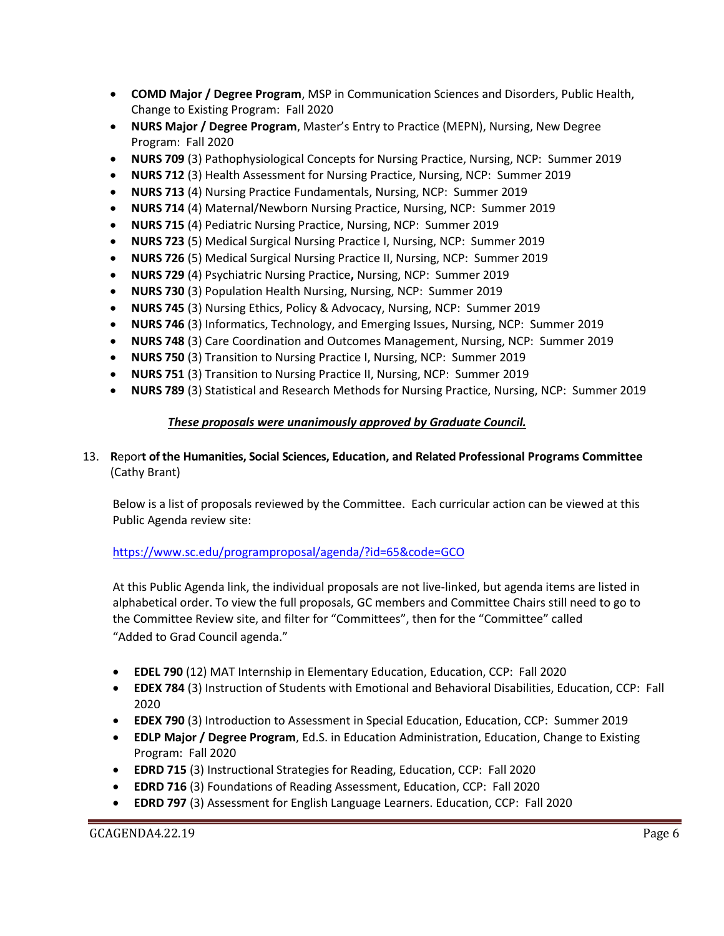- **COMD Major / Degree Program**, MSP in Communication Sciences and Disorders, Public Health, Change to Existing Program: Fall 2020
- **NURS Major / Degree Program**, Master's Entry to Practice (MEPN), Nursing, New Degree Program: Fall 2020
- **NURS 709** (3) Pathophysiological Concepts for Nursing Practice, Nursing, NCP: Summer 2019
- **NURS 712** (3) Health Assessment for Nursing Practice, Nursing, NCP: Summer 2019
- **NURS 713** (4) Nursing Practice Fundamentals, Nursing, NCP: Summer 2019
- **NURS 714** (4) Maternal/Newborn Nursing Practice, Nursing, NCP: Summer 2019
- **NURS 715** (4) Pediatric Nursing Practice, Nursing, NCP: Summer 2019
- **NURS 723** (5) Medical Surgical Nursing Practice I, Nursing, NCP: Summer 2019
- **NURS 726** (5) Medical Surgical Nursing Practice II, Nursing, NCP: Summer 2019
- **NURS 729** (4) Psychiatric Nursing Practice**,** Nursing, NCP: Summer 2019
- **NURS 730** (3) Population Health Nursing, Nursing, NCP: Summer 2019
- **NURS 745** (3) Nursing Ethics, Policy & Advocacy, Nursing, NCP: Summer 2019
- **NURS 746** (3) Informatics, Technology, and Emerging Issues, Nursing, NCP: Summer 2019
- **NURS 748** (3) Care Coordination and Outcomes Management, Nursing, NCP: Summer 2019
- **NURS 750** (3) Transition to Nursing Practice I, Nursing, NCP: Summer 2019
- **NURS 751** (3) Transition to Nursing Practice II, Nursing, NCP: Summer 2019
- **NURS 789** (3) Statistical and Research Methods for Nursing Practice, Nursing, NCP: Summer 2019

## *These proposals were unanimously approved by Graduate Council.*

#### 13. **R**epor**t of the Humanities, Social Sciences, Education, and Related Professional Programs Committee**  (Cathy Brant)

Below is a list of proposals reviewed by the Committee. Each curricular action can be viewed at this Public Agenda review site:

## <https://www.sc.edu/programproposal/agenda/?id=65&code=GCO>

At this Public Agenda link, the individual proposals are not live-linked, but agenda items are listed in alphabetical order. To view the full proposals, GC members and Committee Chairs still need to go to the Committee Review site, and filter for "Committees", then for the "Committee" called "Added to Grad Council agenda."

- **EDEL 790** (12) MAT Internship in Elementary Education, Education, CCP: Fall 2020
- **EDEX 784** (3) Instruction of Students with Emotional and Behavioral Disabilities, Education, CCP: Fall 2020
- **EDEX 790** (3) Introduction to Assessment in Special Education, Education, CCP: Summer 2019
- **EDLP Major / Degree Program**, Ed.S. in Education Administration, Education, Change to Existing Program: Fall 2020
- **EDRD 715** (3) Instructional Strategies for Reading, Education, CCP: Fall 2020
- **EDRD 716** (3) Foundations of Reading Assessment, Education, CCP: Fall 2020
- **EDRD 797** (3) Assessment for English Language Learners. Education, CCP: Fall 2020